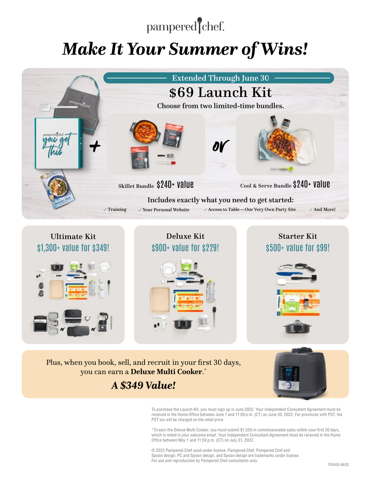# pampered chef.

# *Make It Your Summer of Wins!*





Plus, when you book, sell, and recruit in your first 30 days, you can earn a **Deluxe Multi Cooker**. \*

## *A \$349 Value!*



To purchase the Launch Kit, you must sign up in June 2022. Your Independent Consultant Agreement must be received in the Home Office between June 1 and 11:59 p.m. (CT) on June 30, 2022. For provinces with PST, the PST tax will be charged on the retail price.

\*To earn the Deluxe Multi Cooker, you must submit \$1,500 in commissionable sales within your first 30 days, which is noted in your welcome email. Your Independent Consultant Agreement must be received in the Home Office between May 1 and 11:59 p.m. (CT) on July 31, 2022.

© 2022 Pampered Chef used under license. Pampered Chef, Pampered Chef and Spoon design, PC and Spoon design, and Spoon design are trademarks under license. For use and reproduction by Pampered Chef consultants only.